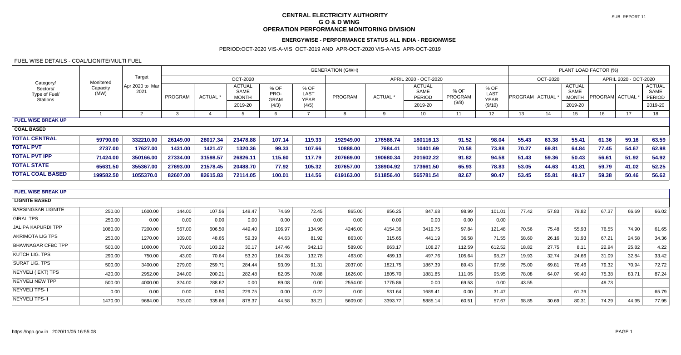# FUEL WISE DETAILS - COAL/LIGNITE/MULTI FUEL

### PERIOD:OCT-2020 VIS-A-VIS OCT-2019 AND APR-OCT-2020 VIS-A-VIS APR-OCT-2019

### **CENTRAL ELECTRICITY AUTHORITY G O & D WING OPERATION PERFORMANCE MONITORING DIVISION**

# **ENERGYWISE - PERFORMANCE STATUS ALL INDIA - REGIONWISE**

| Category<br>Sectors/<br>Type of Fuel/<br><b>Stations</b> | Monitered<br>Capacity<br>(MW) | Target<br>Apr 2020 to Mar<br>2021 | <b>GENERATION (GWH)</b> |                |                                                         |                               |                                      |                       |                |                                                   |                          |                                       | PLANT LOAD FACTOR (%) |       |                                                  |                       |       |                                            |
|----------------------------------------------------------|-------------------------------|-----------------------------------|-------------------------|----------------|---------------------------------------------------------|-------------------------------|--------------------------------------|-----------------------|----------------|---------------------------------------------------|--------------------------|---------------------------------------|-----------------------|-------|--------------------------------------------------|-----------------------|-------|--------------------------------------------|
|                                                          |                               |                                   | OCT-2020                |                |                                                         |                               |                                      | APRIL 2020 - OCT-2020 |                |                                                   |                          |                                       | OCT-2020              |       |                                                  | APRIL 2020 - OCT-2020 |       |                                            |
|                                                          |                               |                                   | PROGRAM                 | ACTUAL *       | <b>ACTUAL</b><br><b>SAME</b><br><b>MONTH</b><br>2019-20 | % OF<br>PRO-<br>GRAM<br>(4/3) | % OF<br>LAST<br><b>YEAR</b><br>(4/5) | PROGRAM               | <b>ACTUAL*</b> | <b>ACTUAL</b><br>SAME<br><b>PERIOD</b><br>2019-20 | % OF<br>PROGRAM<br>(9/8) | % OF<br>LAST<br><b>YEAR</b><br>(9/10) | PROGRAM ACTUAL        |       | <b>ACTUAL</b><br>SAME<br><b>MONTH</b><br>2019-20 | <b>PROGRAM ACTUAL</b> |       | <b>ACTUAL</b><br>SAME<br>PERIOD<br>2019-20 |
|                                                          | $\mathbf{1}$                  | 2                                 | $\mathbf{3}$            | $\overline{4}$ | $5^{\circ}$                                             | 6                             | $\overline{7}$                       | 8                     | 9              | 10                                                | 11                       | 12                                    | 13                    | 14    | 15                                               | 16                    | 17    | 18                                         |
| <b>FUEL WISE BREAK UP</b>                                |                               |                                   |                         |                |                                                         |                               |                                      |                       |                |                                                   |                          |                                       |                       |       |                                                  |                       |       |                                            |
| <b>COAL BASED</b>                                        |                               |                                   |                         |                |                                                         |                               |                                      |                       |                |                                                   |                          |                                       |                       |       |                                                  |                       |       |                                            |
| <b>TOTAL CENTRAL</b>                                     | 59790.00                      | 332210.00                         | 26149.00                | 28017.34       | 23478.88                                                | 107.14                        | 119.33                               | 192949.00             | 176586.74      | 180116.13                                         | 91.52                    | 98.04                                 | 55.43                 | 63.38 | 55.41                                            | 61.36                 | 59.16 | 63.59                                      |
| <b>TOTAL PVT</b>                                         | 2737.00                       | 17627.00                          | 1431.00                 | 1421.47        | 1320.36                                                 | 99.33                         | 107.66                               | 10888.00              | 7684.41        | 10401.69                                          | 70.58                    | 73.88                                 | 70.27                 | 69.81 | 64.84                                            | 77.45                 | 54.67 | 62.98                                      |
| <b>TOTAL PVT IPP</b>                                     | 71424.00                      | 350166.00                         | 27334.00                | 31598.57       | 26826.11                                                | 115.60                        | 117.79                               | 207669.00             | 190680.34      | 201602.22                                         | 91.82                    | 94.58                                 | 51.43                 | 59.36 | 50.43                                            | 56.61                 | 51.92 | 54.92                                      |
| <b>TOTAL STATE</b>                                       | 65631.50                      | 355367.00                         | 27693.00                | 21578.45       | 20488.70                                                | 77.92                         | 105.32                               | 207657.00             | 136904.92      | 173661.50                                         | 65.93                    | 78.83                                 | 53.05                 | 44.63 | 41.81                                            | 59.79                 | 41.02 | 52.25                                      |
| <b>TOTAL COAL BASED</b>                                  | 199582.50                     | 1055370.0                         | 82607.00                | 82615.83       | 72114.05                                                | 100.01                        | 114.56                               | 619163.00             | 511856.40      | 565781.54                                         | 82.67                    | 90.47                                 | 53.45                 | 55.81 | 49.17                                            | 59.38                 | 50.46 | 56.62                                      |
|                                                          |                               |                                   |                         |                |                                                         |                               |                                      |                       |                |                                                   |                          |                                       |                       |       |                                                  |                       |       |                                            |
| <b>FUEL WISE BREAK UP</b>                                |                               |                                   |                         |                |                                                         |                               |                                      |                       |                |                                                   |                          |                                       |                       |       |                                                  |                       |       |                                            |
| <b>LIGNITE BASED</b>                                     |                               |                                   |                         |                |                                                         |                               |                                      |                       |                |                                                   |                          |                                       |                       |       |                                                  |                       |       |                                            |
| <b>BARSINGSAR LIGNITE</b>                                | 250.00                        | 1600.00                           | 144.00                  | 107.56         | 148.47                                                  | 74.69                         | 72.45                                | 865.00                | 856.25         | 847.68                                            | 98.99                    | 101.01                                | 77.42                 | 57.83 | 79.82                                            | 67.37                 | 66.69 | 66.02                                      |
| <b>GIRAL TPS</b>                                         | 250.00                        | 0.00                              | 0.00                    | 0.00           | 0.00                                                    | 0.00                          | 0.00                                 | 0.00                  | 0.00           | 0.00                                              | 0.00                     | 0.00                                  |                       |       |                                                  |                       |       |                                            |
| <b>JALIPA KAPURDI TPP</b>                                | 1080.00                       | 7200.00                           | 567.00                  | 606.50         | 449.40                                                  | 106.97                        | 134.96                               | 4246.00               | 4154.36        | 3419.75                                           | 97.84                    | 121.48                                | 70.56                 | 75.48 | 55.93                                            | 76.55                 | 74.90 | 61.65                                      |
| <b>AKRIMOTA LIG TPS</b>                                  | 250.00                        | 1270.00                           | 109.00                  | 48.65          | 59.39                                                   | 44.63                         | 81.92                                | 863.00                | 315.65         | 441.19                                            | 36.58                    | 71.55                                 | 58.60                 | 26.16 | 31.93                                            | 67.21                 | 24.58 | 34.36                                      |
| <b>BHAVNAGAR CFBC TPP</b>                                | 500.00                        | 1000.00                           | 70.00                   | 103.22         | 30.17                                                   | 147.46                        | 342.13                               | 589.00                | 663.17         | 108.27                                            | 112.59                   | 612.52                                | 18.82                 | 27.75 | 8.11                                             | 22.94                 | 25.82 | 4.22                                       |
| <b>KUTCH LIG. TPS</b>                                    | 290.00                        | 750.00                            | 43.00                   | 70.64          | 53.20                                                   | 164.28                        | 132.78                               | 463.00                | 489.13         | 497.76                                            | 105.64                   | 98.27                                 | 19.93                 | 32.74 | 24.66                                            | 31.09                 | 32.84 | 33.42                                      |
| <b>SURAT LIG. TPS</b>                                    | 500.00                        | 3400.00                           | 279.00                  | 259.71         | 284.44                                                  | 93.09                         | 91.31                                | 2037.00               | 1821.75        | 1867.39                                           | 89.43                    | 97.56                                 | 75.00                 | 69.81 | 76.46                                            | 79.32                 | 70.94 | 72.72                                      |
| NEYVELI (EXT) TPS                                        | 420.00                        | 2952.00                           | 244.00                  | 200.21         | 282.48                                                  | 82.05                         | 70.88                                | 1626.00               | 1805.70        | 1881.85                                           | 111.05                   | 95.95                                 | 78.08                 | 64.07 | 90.40                                            | 75.38                 | 83.71 | 87.24                                      |
| <b>NEYVELI NEW TPP</b>                                   | 500.00                        | 4000.00                           | 324.00                  | 288.62         | 0.00                                                    | 89.08                         | 0.00                                 | 2554.00               | 1775.86        | 0.00                                              | 69.53                    | 0.00                                  | 43.55                 |       |                                                  | 49.73                 |       |                                            |
| <b>NEYVELI TPS-1</b>                                     | 0.00                          | 0.00                              | 0.00                    | 0.50           | 229.75                                                  | 0.00                          | 0.22                                 | 0.00                  | 531.64         | 1689.41                                           | 0.00                     | 31.47                                 |                       |       | 61.76                                            |                       |       | 65.79                                      |
| <b>NEYVELI TPS-II</b>                                    | 1470.00                       | 9684.00                           | 753.00                  | 335.66         | 878.37                                                  | 44.58                         | 38.21                                | 5609.00               | 3393.77        | 5885.14                                           | 60.51                    | 57.67                                 | 68.85                 | 30.69 | 80.31                                            | 74.29                 | 44.95 | 77.95                                      |